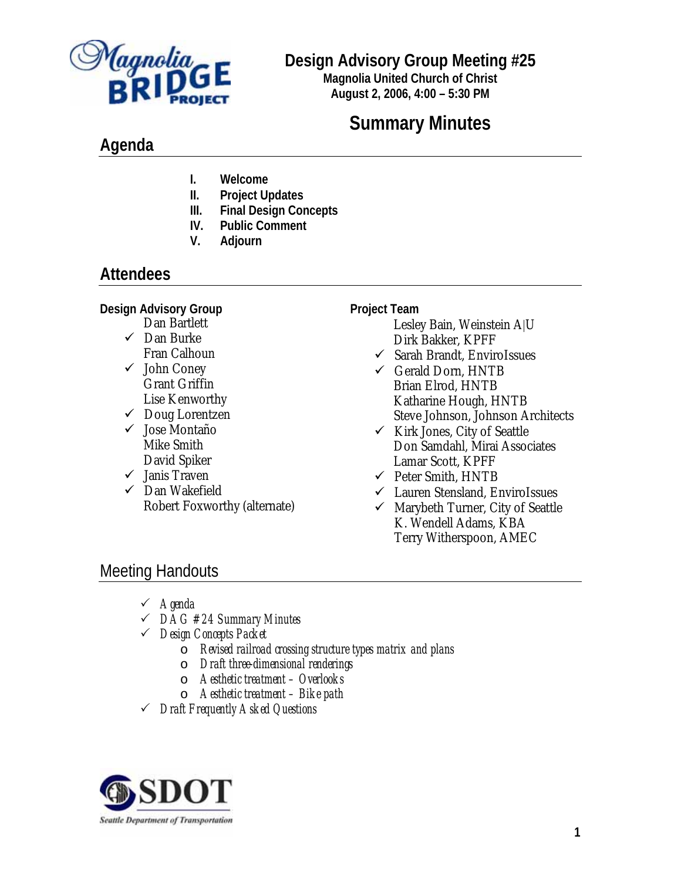

### **Design Advisory Group Meeting #25**

**Magnolia United Church of Christ August 2, 2006, 4:00 – 5:30 PM**

# **Summary Minutes**

# **Agenda**

- **I. Welcome**
- **II. Project Updates**
- **III. Final Design Concepts**
- **IV. Public Comment**
- **V. Adjourn**

# **Attendees**

**Design Advisory Group** 

- Dan Bartlett  $\checkmark$  Dan Burke Fran Calhoun
- $\checkmark$  John Coney Grant Griffin Lise Kenworthy
- $\checkmark$  Doug Lorentzen
- ◆ Jose Montaño Mike Smith David Spiker
- $\checkmark$  Janis Traven
- $\checkmark$  Dan Wakefield Robert Foxworthy (alternate)

#### **Project Team**

 Lesley Bain, Weinstein A|U Dirk Bakker, KPFF

- $\checkmark$  Sarah Brandt, EnviroIssues
- $\checkmark$  Gerald Dorn, HNTB Brian Elrod, HNTB Katharine Hough, HNTB Steve Johnson, Johnson Architects
- $\checkmark$  Kirk Jones, City of Seattle Don Samdahl, Mirai Associates Lamar Scott, KPFF
- $\checkmark$  Peter Smith, HNTB
- 9 Lauren Stensland, EnviroIssues
- $\checkmark$  Marybeth Turner, City of Seattle K. Wendell Adams, KBA Terry Witherspoon, AMEC

# Meeting Handouts

- 3 *Agenda*
- 3 *DAG #24 Summary Minutes*
- 3 *Design Concepts Packet* 
	- o *Revised railroad crossing structure types matrix and plans*
	- o *Draft three-dimensional renderings*
	- o *Aesthetic treatment Overlooks*
	- o *Aesthetic treatment Bike path*
- 3 *Draft Frequently Asked Questions*

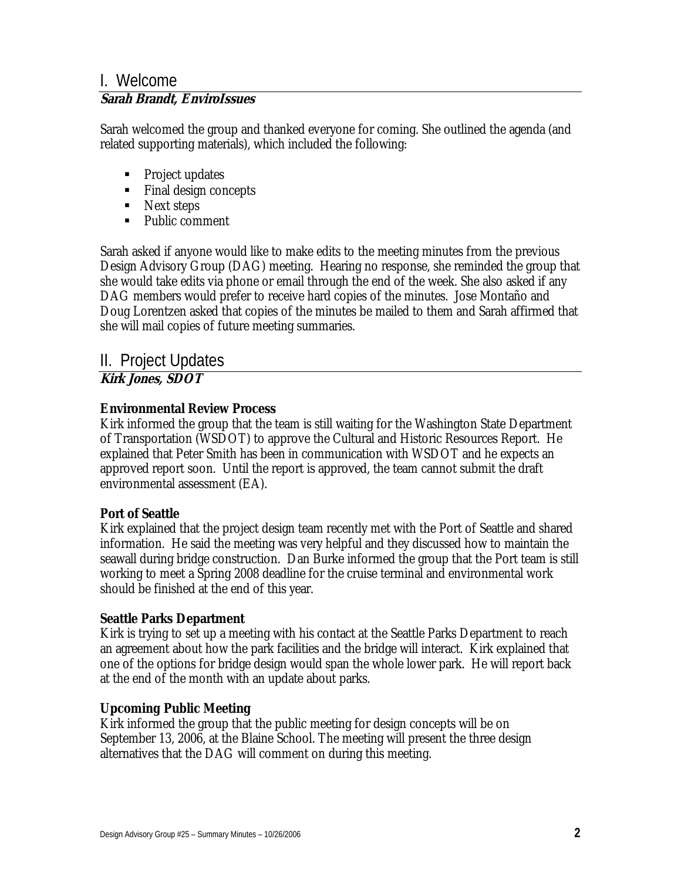#### I. Welcome **Sarah Brandt, EnviroIssues**

Sarah welcomed the group and thanked everyone for coming. She outlined the agenda (and related supporting materials), which included the following:

- Project updates
- Final design concepts
- Next steps
- Public comment

Sarah asked if anyone would like to make edits to the meeting minutes from the previous Design Advisory Group (DAG) meeting. Hearing no response, she reminded the group that she would take edits via phone or email through the end of the week. She also asked if any DAG members would prefer to receive hard copies of the minutes. Jose Montaño and Doug Lorentzen asked that copies of the minutes be mailed to them and Sarah affirmed that she will mail copies of future meeting summaries.

# II. Project Updates

### **Kirk Jones, SDOT**

#### **Environmental Review Process**

Kirk informed the group that the team is still waiting for the Washington State Department of Transportation (WSDOT) to approve the Cultural and Historic Resources Report. He explained that Peter Smith has been in communication with WSDOT and he expects an approved report soon. Until the report is approved, the team cannot submit the draft environmental assessment (EA).

#### **Port of Seattle**

Kirk explained that the project design team recently met with the Port of Seattle and shared information. He said the meeting was very helpful and they discussed how to maintain the seawall during bridge construction. Dan Burke informed the group that the Port team is still working to meet a Spring 2008 deadline for the cruise terminal and environmental work should be finished at the end of this year.

#### **Seattle Parks Department**

Kirk is trying to set up a meeting with his contact at the Seattle Parks Department to reach an agreement about how the park facilities and the bridge will interact. Kirk explained that one of the options for bridge design would span the whole lower park. He will report back at the end of the month with an update about parks.

### **Upcoming Public Meeting**

Kirk informed the group that the public meeting for design concepts will be on September 13, 2006, at the Blaine School. The meeting will present the three design alternatives that the DAG will comment on during this meeting.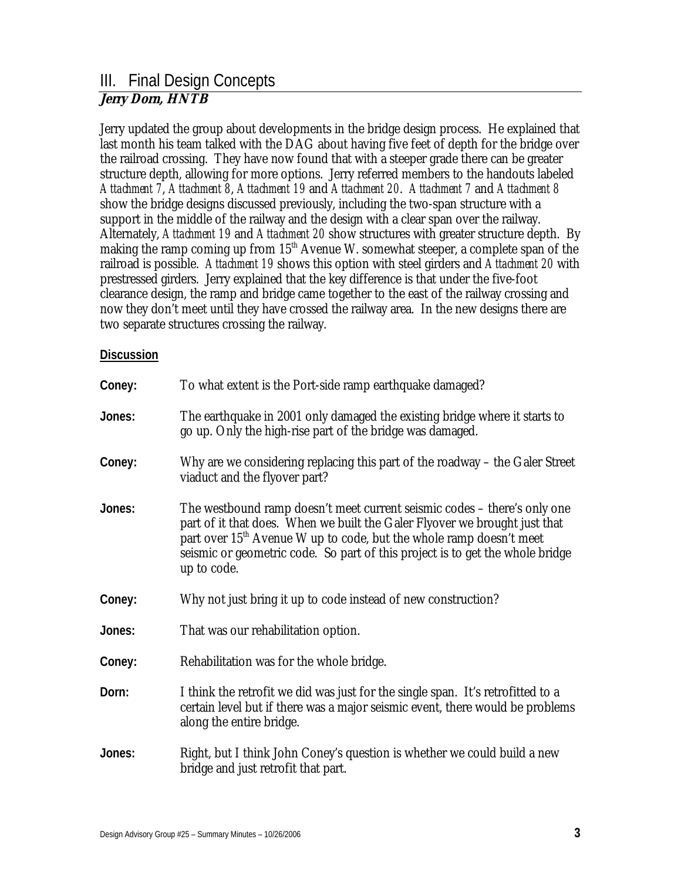#### III. Final Design Concepts **Jerry Dorn, HNTB**

Jerry updated the group about developments in the bridge design process. He explained that last month his team talked with the DAG about having five feet of depth for the bridge over the railroad crossing. They have now found that with a steeper grade there can be greater structure depth, allowing for more options. Jerry referred members to the handouts labeled *Attachment 7*, *Attachment 8*, *Attachment 19* and *Attachment 20*. *Attachment 7* and *Attachment 8* show the bridge designs discussed previously, including the two-span structure with a support in the middle of the railway and the design with a clear span over the railway. Alternately, *Attachment 19* and *Attachment 20* show structures with greater structure depth. By making the ramp coming up from  $15<sup>th</sup>$  Avenue W. somewhat steeper, a complete span of the railroad is possible. *Attachment 19* shows this option with steel girders and *Attachment 20* with prestressed girders. Jerry explained that the key difference is that under the five-foot clearance design, the ramp and bridge came together to the east of the railway crossing and now they don't meet until they have crossed the railway area. In the new designs there are two separate structures crossing the railway.

#### **Discussion**

| Coney: | To what extent is the Port-side ramp earthquake damaged?                                                                                                                                                                                                                                                                                  |
|--------|-------------------------------------------------------------------------------------------------------------------------------------------------------------------------------------------------------------------------------------------------------------------------------------------------------------------------------------------|
| Jones: | The earthquake in 2001 only damaged the existing bridge where it starts to<br>go up. Only the high-rise part of the bridge was damaged.                                                                                                                                                                                                   |
| Coney: | Why are we considering replacing this part of the roadway – the Galer Street<br>viaduct and the flyover part?                                                                                                                                                                                                                             |
| Jones: | The westbound ramp doesn't meet current seismic codes – there's only one<br>part of it that does. When we built the Galer Flyover we brought just that<br>part over 15 <sup>th</sup> Avenue W up to code, but the whole ramp doesn't meet<br>seismic or geometric code. So part of this project is to get the whole bridge<br>up to code. |
| Coney: | Why not just bring it up to code instead of new construction?                                                                                                                                                                                                                                                                             |
| Jones: | That was our rehabilitation option.                                                                                                                                                                                                                                                                                                       |
| Coney: | Rehabilitation was for the whole bridge.                                                                                                                                                                                                                                                                                                  |
| Dorn:  | I think the retrofit we did was just for the single span. It's retrofitted to a<br>certain level but if there was a major seismic event, there would be problems<br>along the entire bridge.                                                                                                                                              |
| Jones: | Right, but I think John Coney's question is whether we could build a new<br>bridge and just retrofit that part.                                                                                                                                                                                                                           |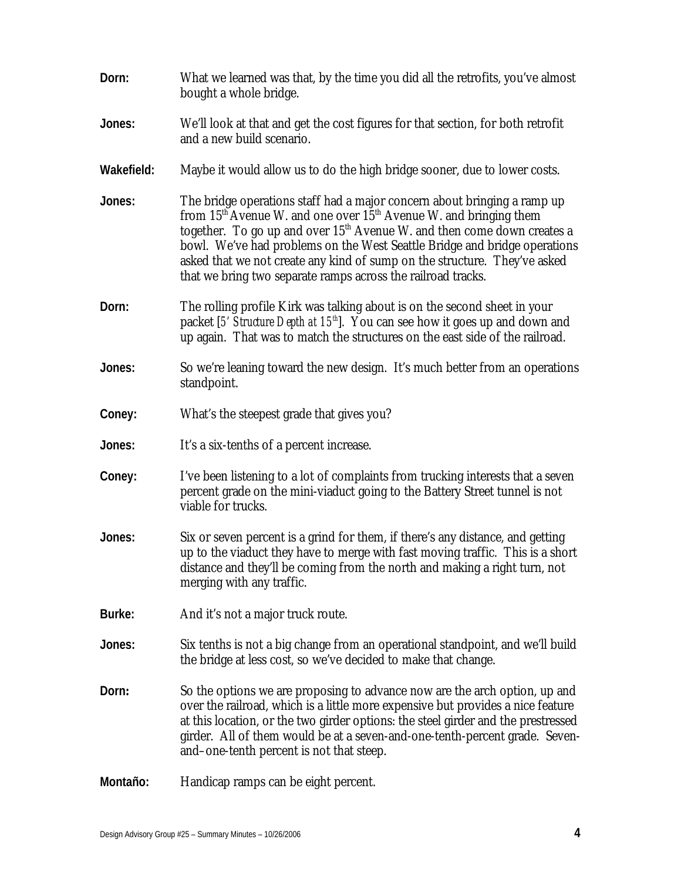| Dorn:      | What we learned was that, by the time you did all the retrofits, you've almost<br>bought a whole bridge.                                                                                                                                                                                                                                                                                                                                                 |
|------------|----------------------------------------------------------------------------------------------------------------------------------------------------------------------------------------------------------------------------------------------------------------------------------------------------------------------------------------------------------------------------------------------------------------------------------------------------------|
| Jones:     | We'll look at that and get the cost figures for that section, for both retrofit<br>and a new build scenario.                                                                                                                                                                                                                                                                                                                                             |
| Wakefield: | Maybe it would allow us to do the high bridge sooner, due to lower costs.                                                                                                                                                                                                                                                                                                                                                                                |
| Jones:     | The bridge operations staff had a major concern about bringing a ramp up<br>from $15th$ Avenue W. and one over $15th$ Avenue W. and bringing them<br>together. To go up and over $15th$ Avenue W. and then come down creates a<br>bowl. We've had problems on the West Seattle Bridge and bridge operations<br>asked that we not create any kind of sump on the structure. They've asked<br>that we bring two separate ramps across the railroad tracks. |
| Dorn:      | The rolling profile Kirk was talking about is on the second sheet in your<br>packet [5' Structure Depth at $15th$ ]. You can see how it goes up and down and<br>up again. That was to match the structures on the east side of the railroad.                                                                                                                                                                                                             |
| Jones:     | So we're leaning toward the new design. It's much better from an operations<br>standpoint.                                                                                                                                                                                                                                                                                                                                                               |
| Coney:     | What's the steepest grade that gives you?                                                                                                                                                                                                                                                                                                                                                                                                                |
| Jones:     | It's a six-tenths of a percent increase.                                                                                                                                                                                                                                                                                                                                                                                                                 |
| Coney:     | I've been listening to a lot of complaints from trucking interests that a seven<br>percent grade on the mini-viaduct going to the Battery Street tunnel is not<br>viable for trucks.                                                                                                                                                                                                                                                                     |
| Jones:     | Six or seven percent is a grind for them, if there's any distance, and getting<br>up to the viaduct they have to merge with fast moving traffic. This is a short<br>distance and they'll be coming from the north and making a right turn, not<br>merging with any traffic.                                                                                                                                                                              |
| Burke:     | And it's not a major truck route.                                                                                                                                                                                                                                                                                                                                                                                                                        |
| Jones:     | Six tenths is not a big change from an operational standpoint, and we'll build<br>the bridge at less cost, so we've decided to make that change.                                                                                                                                                                                                                                                                                                         |
| Dorn:      | So the options we are proposing to advance now are the arch option, up and<br>over the railroad, which is a little more expensive but provides a nice feature<br>at this location, or the two girder options: the steel girder and the prestressed<br>girder. All of them would be at a seven-and-one-tenth-percent grade. Seven-<br>and-one-tenth percent is not that steep.                                                                            |
| Montaño:   | Handicap ramps can be eight percent.                                                                                                                                                                                                                                                                                                                                                                                                                     |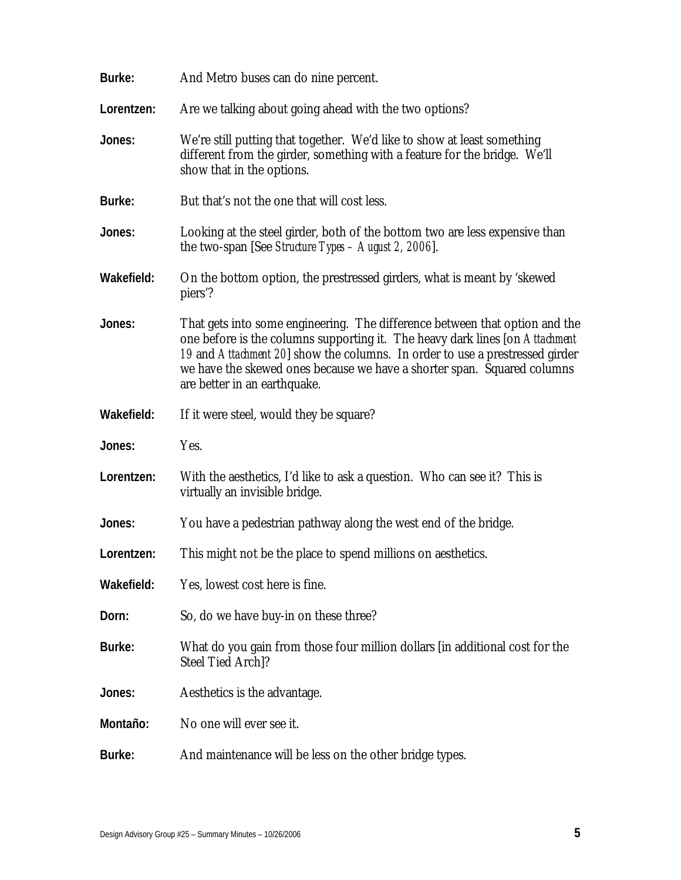| Burke:     | And Metro buses can do nine percent.                                                                                                                                                                                                                                                                                                                  |
|------------|-------------------------------------------------------------------------------------------------------------------------------------------------------------------------------------------------------------------------------------------------------------------------------------------------------------------------------------------------------|
| Lorentzen: | Are we talking about going ahead with the two options?                                                                                                                                                                                                                                                                                                |
| Jones:     | We're still putting that together. We'd like to show at least something<br>different from the girder, something with a feature for the bridge. We'll<br>show that in the options.                                                                                                                                                                     |
| Burke:     | But that's not the one that will cost less.                                                                                                                                                                                                                                                                                                           |
| Jones:     | Looking at the steel girder, both of the bottom two are less expensive than<br>the two-span [See <i>Structure Types – August 2, 2006</i> ].                                                                                                                                                                                                           |
| Wakefield: | On the bottom option, the prestressed girders, what is meant by 's kewed<br>piers?                                                                                                                                                                                                                                                                    |
| Jones:     | That gets into some engineering. The difference between that option and the<br>one before is the columns supporting it. The heavy dark lines [on Attachment<br>19 and Attachment 20 show the columns. In order to use a prestressed girder<br>we have the skewed ones because we have a shorter span. Squared columns<br>are better in an earthquake. |
| Wakefield: | If it were steel, would they be square?                                                                                                                                                                                                                                                                                                               |
| Jones:     | Yes.                                                                                                                                                                                                                                                                                                                                                  |
| Lorentzen: | With the aesthetics, I'd like to ask a question. Who can see it? This is<br>virtually an invisible bridge.                                                                                                                                                                                                                                            |
| Jones:     | You have a pedestrian pathway along the west end of the bridge.                                                                                                                                                                                                                                                                                       |
| Lorentzen: | This might not be the place to spend millions on aesthetics.                                                                                                                                                                                                                                                                                          |
| Wakefield: | Yes, lowest cost here is fine.                                                                                                                                                                                                                                                                                                                        |
| Dorn:      | So, do we have buy-in on these three?                                                                                                                                                                                                                                                                                                                 |
| Burke:     | What do you gain from those four million dollars [in additional cost for the<br>Steel Tied Arch]?                                                                                                                                                                                                                                                     |
| Jones:     | Aesthetics is the advantage.                                                                                                                                                                                                                                                                                                                          |
| Montaño:   | No one will ever see it.                                                                                                                                                                                                                                                                                                                              |
| Burke:     | And maintenance will be less on the other bridge types.                                                                                                                                                                                                                                                                                               |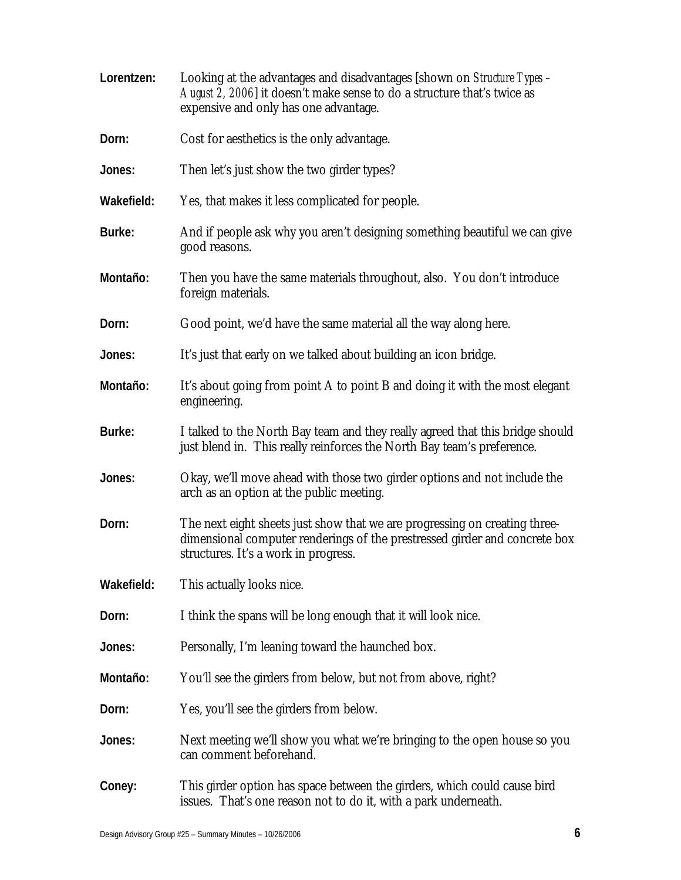| Lorentzen: | Looking at the advantages and disadvantages [shown on <i>Structure Types -</i><br>August 2, 2006] it doesn't make sense to do a structure that's twice as<br>expensive and only has one advantage. |
|------------|----------------------------------------------------------------------------------------------------------------------------------------------------------------------------------------------------|
| Dorn:      | Cost for aesthetics is the only advantage.                                                                                                                                                         |
| Jones:     | Then let's just show the two girder types?                                                                                                                                                         |
| Wakefield: | Yes, that makes it less complicated for people.                                                                                                                                                    |
| Burke:     | And if people ask why you aren't designing something beautiful we can give<br>good reasons.                                                                                                        |
| Montaño:   | Then you have the same materials throughout, also. You don't introduce<br>foreign materials.                                                                                                       |
| Dorn:      | Good point, we'd have the same material all the way along here.                                                                                                                                    |
| Jones:     | It's just that early on we talked about building an icon bridge.                                                                                                                                   |
| Montaño:   | It's about going from point A to point B and doing it with the most elegant<br>engineering.                                                                                                        |
| Burke:     | I talked to the North Bay team and they really agreed that this bridge should<br>just blend in. This really reinforces the North Bay team's preference.                                            |
| Jones:     | Okay, we'll move ahead with those two girder options and not include the<br>arch as an option at the public meeting.                                                                               |
| Dorn:      | The next eight sheets just show that we are progressing on creating three-<br>dimensional computer renderings of the prestressed girder and concrete box<br>structures. It's a work in progress.   |
| Wakefield: | This actually looks nice.                                                                                                                                                                          |
| Dorn:      | I think the spans will be long enough that it will look nice.                                                                                                                                      |
| Jones:     | Personally, I'm leaning toward the haunched box.                                                                                                                                                   |
| Montaño:   | You'll see the girders from below, but not from above, right?                                                                                                                                      |
| Dorn:      | Yes, you'll see the girders from below.                                                                                                                                                            |
| Jones:     | Next meeting we'll show you what we're bringing to the open house so you<br>can comment beforehand.                                                                                                |
| Coney:     | This girder option has space between the girders, which could cause bird<br>issues. That's one reason not to do it, with a park underneath.                                                        |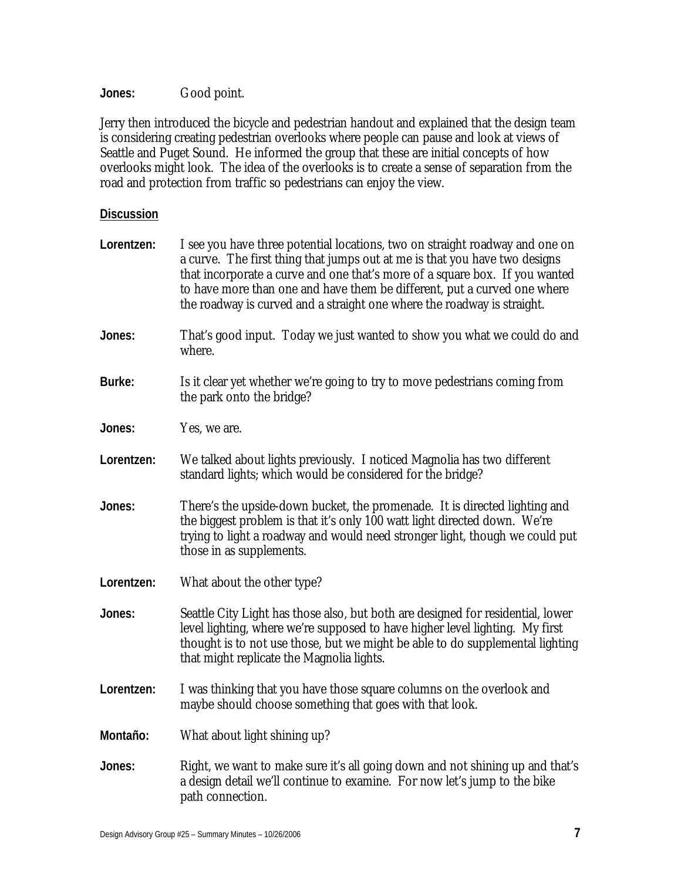**Jones:** Good point.

Jerry then introduced the bicycle and pedestrian handout and explained that the design team is considering creating pedestrian overlooks where people can pause and look at views of Seattle and Puget Sound. He informed the group that these are initial concepts of how overlooks might look. The idea of the overlooks is to create a sense of separation from the road and protection from traffic so pedestrians can enjoy the view.

#### **Discussion**

| Lorentzen: | I see you have three potential locations, two on straight roadway and one on<br>a curve. The first thing that jumps out at me is that you have two designs<br>that incorporate a curve and one that's more of a square box. If you wanted<br>to have more than one and have them be different, put a curved one where<br>the roadway is curved and a straight one where the roadway is straight. |
|------------|--------------------------------------------------------------------------------------------------------------------------------------------------------------------------------------------------------------------------------------------------------------------------------------------------------------------------------------------------------------------------------------------------|
| Jones:     | That's good input. Today we just wanted to show you what we could do and<br>where.                                                                                                                                                                                                                                                                                                               |
| Burke:     | Is it clear yet whether we're going to try to move pedestrians coming from<br>the park onto the bridge?                                                                                                                                                                                                                                                                                          |
| Jones:     | Yes, we are.                                                                                                                                                                                                                                                                                                                                                                                     |
| Lorentzen: | We talked about lights previously. I noticed Magnolia has two different<br>standard lights; which would be considered for the bridge?                                                                                                                                                                                                                                                            |
| Jones:     | There's the upside-down bucket, the promenade. It is directed lighting and<br>the biggest problem is that it's only 100 watt light directed down. We're<br>trying to light a roadway and would need stronger light, though we could put<br>those in as supplements.                                                                                                                              |
| Lorentzen: | What about the other type?                                                                                                                                                                                                                                                                                                                                                                       |
| Jones:     | Seattle City Light has those also, but both are designed for residential, lower<br>level lighting, where we're supposed to have higher level lighting. My first<br>thought is to not use those, but we might be able to do supplemental lighting<br>that might replicate the Magnolia lights.                                                                                                    |
| Lorentzen: | I was thinking that you have those square columns on the overlook and<br>maybe should choose something that goes with that look.                                                                                                                                                                                                                                                                 |
| Montaño:   | What about light shining up?                                                                                                                                                                                                                                                                                                                                                                     |
| Jones:     | Right, we want to make sure it's all going down and not shining up and that's<br>a design detail we'll continue to examine. For now let's jump to the bike<br>path connection.                                                                                                                                                                                                                   |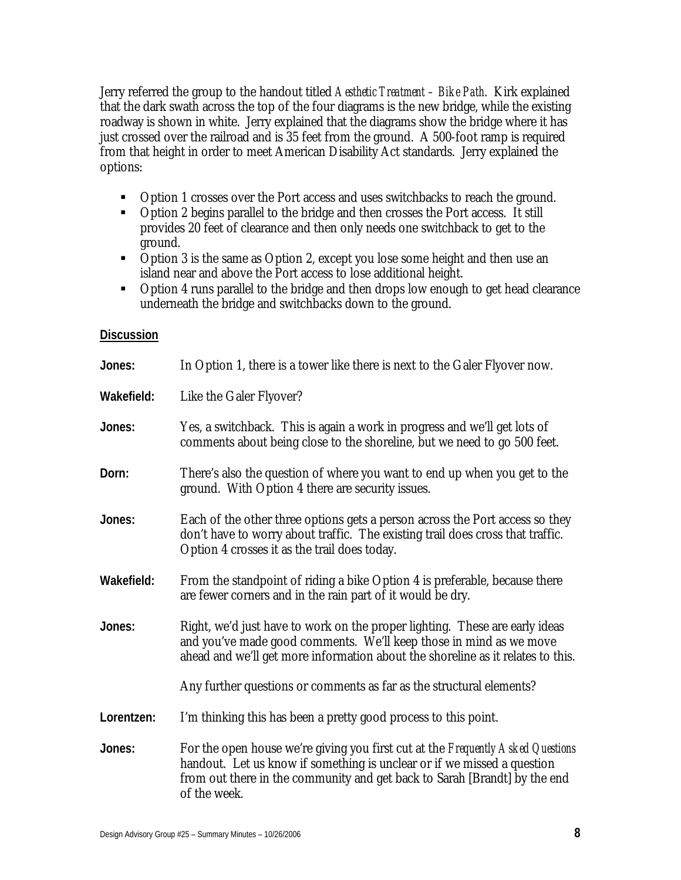Jerry referred the group to the handout titled *Aesthetic Treatment – Bike Path*. Kirk explained that the dark swath across the top of the four diagrams is the new bridge, while the existing roadway is shown in white. Jerry explained that the diagrams show the bridge where it has just crossed over the railroad and is 35 feet from the ground. A 500-foot ramp is required from that height in order to meet American Disability Act standards. Jerry explained the options:

- Option 1 crosses over the Port access and uses switchbacks to reach the ground.
- Option 2 begins parallel to the bridge and then crosses the Port access. It still provides 20 feet of clearance and then only needs one switchback to get to the ground.
- Option 3 is the same as Option 2, except you lose some height and then use an island near and above the Port access to lose additional height.
- Option 4 runs parallel to the bridge and then drops low enough to get head clearance underneath the bridge and switchbacks down to the ground.

#### **Discussion**

| Jones:     | In Option 1, there is a tower like there is next to the Galer Flyover now.                                                                                                                                                                              |
|------------|---------------------------------------------------------------------------------------------------------------------------------------------------------------------------------------------------------------------------------------------------------|
| Wakefield: | Like the Galer Flyover?                                                                                                                                                                                                                                 |
| Jones:     | Yes, a switchback. This is again a work in progress and we'll get lots of<br>comments about being close to the shoreline, but we need to go 500 feet.                                                                                                   |
| Dorn:      | There's also the question of where you want to end up when you get to the<br>ground. With Option 4 there are security issues.                                                                                                                           |
| Jones:     | Each of the other three options gets a person across the Port access so they<br>don't have to worry about traffic. The existing trail does cross that traffic.<br>Option 4 crosses it as the trail does today.                                          |
| Wakefield: | From the standpoint of riding a bike Option 4 is preferable, because there<br>are fewer corners and in the rain part of it would be dry.                                                                                                                |
| Jones:     | Right, we'd just have to work on the proper lighting. These are early ideas<br>and you've made good comments. We'll keep those in mind as we move<br>ahead and we'll get more information about the shoreline as it relates to this.                    |
|            | Any further questions or comments as far as the structural elements?                                                                                                                                                                                    |
| Lorentzen: | I'm thinking this has been a pretty good process to this point.                                                                                                                                                                                         |
| Jones:     | For the open house we're giving you first cut at the Frequently Asked Questions<br>handout. Let us know if something is unclear or if we missed a question<br>from out there in the community and get back to Sarah [Brandt] by the end<br>of the week. |